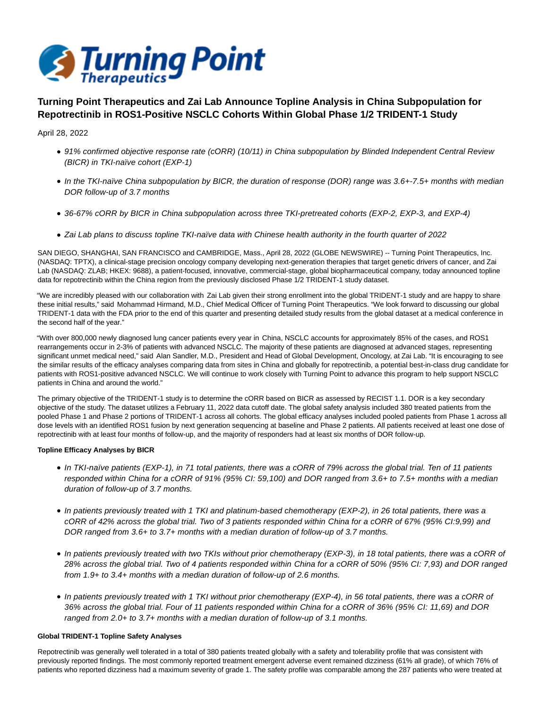

# **Turning Point Therapeutics and Zai Lab Announce Topline Analysis in China Subpopulation for Repotrectinib in ROS1-Positive NSCLC Cohorts Within Global Phase 1/2 TRIDENT-1 Study**

April 28, 2022

- 91% confirmed objective response rate (cORR) (10/11) in China subpopulation by Blinded Independent Central Review (BICR) in TKI-naïve cohort (EXP-1)
- In the TKI-naïve China subpopulation by BICR, the duration of response (DOR) range was 3.6+-7.5+ months with median DOR follow-up of 3.7 months
- 36-67% cORR by BICR in China subpopulation across three TKI-pretreated cohorts (EXP-2, EXP-3, and EXP-4)
- Zai Lab plans to discuss topline TKI-naïve data with Chinese health authority in the fourth quarter of 2022

SAN DIEGO, SHANGHAI, SAN FRANCISCO and CAMBRIDGE, Mass., April 28, 2022 (GLOBE NEWSWIRE) -- Turning Point Therapeutics, Inc. (NASDAQ: TPTX), a clinical-stage precision oncology company developing next-generation therapies that target genetic drivers of cancer, and Zai Lab (NASDAQ: ZLAB; HKEX: 9688), a patient-focused, innovative, commercial-stage, global biopharmaceutical company, today announced topline data for repotrectinib within the China region from the previously disclosed Phase 1/2 TRIDENT-1 study dataset.

"We are incredibly pleased with our collaboration with Zai Lab given their strong enrollment into the global TRIDENT-1 study and are happy to share these initial results," said Mohammad Hirmand, M.D., Chief Medical Officer of Turning Point Therapeutics. "We look forward to discussing our global TRIDENT-1 data with the FDA prior to the end of this quarter and presenting detailed study results from the global dataset at a medical conference in the second half of the year."

"With over 800,000 newly diagnosed lung cancer patients every year in China, NSCLC accounts for approximately 85% of the cases, and ROS1 rearrangements occur in 2-3% of patients with advanced NSCLC. The majority of these patients are diagnosed at advanced stages, representing significant unmet medical need," said Alan Sandler, M.D., President and Head of Global Development, Oncology, at Zai Lab. "It is encouraging to see the similar results of the efficacy analyses comparing data from sites in China and globally for repotrectinib, a potential best-in-class drug candidate for patients with ROS1-positive advanced NSCLC. We will continue to work closely with Turning Point to advance this program to help support NSCLC patients in China and around the world."

The primary objective of the TRIDENT-1 study is to determine the cORR based on BICR as assessed by RECIST 1.1. DOR is a key secondary objective of the study. The dataset utilizes a February 11, 2022 data cutoff date. The global safety analysis included 380 treated patients from the pooled Phase 1 and Phase 2 portions of TRIDENT-1 across all cohorts. The global efficacy analyses included pooled patients from Phase 1 across all dose levels with an identified ROS1 fusion by next generation sequencing at baseline and Phase 2 patients. All patients received at least one dose of repotrectinib with at least four months of follow-up, and the majority of responders had at least six months of DOR follow-up.

### **Topline Efficacy Analyses by BICR**

- In TKI-naïve patients (EXP-1), in 71 total patients, there was a cORR of 79% across the global trial. Ten of 11 patients responded within China for a cORR of 91% (95% CI: 59,100) and DOR ranged from 3.6+ to 7.5+ months with a median duration of follow-up of 3.7 months.
- In patients previously treated with 1 TKI and platinum-based chemotherapy (EXP-2), in 26 total patients, there was a cORR of 42% across the global trial. Two of 3 patients responded within China for a cORR of 67% (95% CI:9,99) and DOR ranged from 3.6+ to 3.7+ months with a median duration of follow-up of 3.7 months.
- In patients previously treated with two TKIs without prior chemotherapy (EXP-3), in 18 total patients, there was a cORR of 28% across the global trial. Two of 4 patients responded within China for a cORR of 50% (95% CI: 7,93) and DOR ranged from 1.9+ to 3.4+ months with a median duration of follow-up of 2.6 months.
- In patients previously treated with 1 TKI without prior chemotherapy (EXP-4), in 56 total patients, there was a cORR of 36% across the global trial. Four of 11 patients responded within China for a cORR of 36% (95% CI: 11,69) and DOR ranged from 2.0+ to 3.7+ months with a median duration of follow-up of 3.1 months.

## **Global TRIDENT-1 Topline Safety Analyses**

Repotrectinib was generally well tolerated in a total of 380 patients treated globally with a safety and tolerability profile that was consistent with previously reported findings. The most commonly reported treatment emergent adverse event remained dizziness (61% all grade), of which 76% of patients who reported dizziness had a maximum severity of grade 1. The safety profile was comparable among the 287 patients who were treated at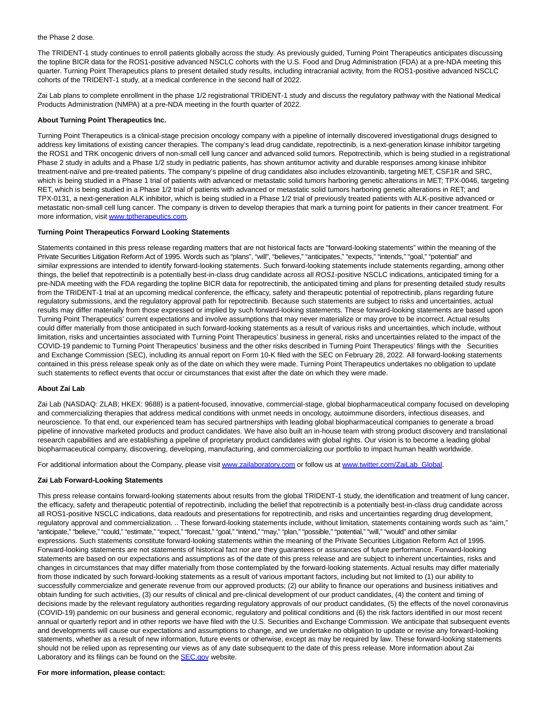#### the Phase 2 dose.

The TRIDENT-1 study continues to enroll patients globally across the study. As previously guided, Turning Point Therapeutics anticipates discussing the topline BICR data for the ROS1-positive advanced NSCLC cohorts with the U.S. Food and Drug Administration (FDA) at a pre-NDA meeting this quarter. Turning Point Therapeutics plans to present detailed study results, including intracranial activity, from the ROS1-positive advanced NSCLC cohorts of the TRIDENT-1 study, at a medical conference in the second half of 2022.

Zai Lab plans to complete enrollment in the phase 1/2 registrational TRIDENT-1 study and discuss the regulatory pathway with the National Medical Products Administration (NMPA) at a pre-NDA meeting in the fourth quarter of 2022.

#### **About Turning Point Therapeutics Inc.**

Turning Point Therapeutics is a clinical-stage precision oncology company with a pipeline of internally discovered investigational drugs designed to address key limitations of existing cancer therapies. The company's lead drug candidate, repotrectinib, is a next-generation kinase inhibitor targeting the ROS1 and TRK oncogenic drivers of non-small cell lung cancer and advanced solid tumors. Repotrectinib, which is being studied in a registrational Phase 2 study in adults and a Phase 1/2 study in pediatric patients, has shown antitumor activity and durable responses among kinase inhibitor treatment-naïve and pre-treated patients. The company's pipeline of drug candidates also includes elzovantinib, targeting MET, CSF1R and SRC, which is being studied in a Phase 1 trial of patients with advanced or metastatic solid tumors harboring genetic alterations in MET; TPX-0046, targeting RET, which is being studied in a Phase 1/2 trial of patients with advanced or metastatic solid tumors harboring genetic alterations in RET; and TPX-0131, a next-generation ALK inhibitor, which is being studied in a Phase 1/2 trial of previously treated patients with ALK-positive advanced or metastatic non-small cell lung cancer. The company is driven to develop therapies that mark a turning point for patients in their cancer treatment. For more information, visit [www.tptherapeutics.com.](http://www.tptherapeutics.com/)

## **Turning Point Therapeutics Forward Looking Statements**

Statements contained in this press release regarding matters that are not historical facts are "forward-looking statements" within the meaning of the Private Securities Litigation Reform Act of 1995. Words such as "plans", "will", "believes," "anticipates," "expects," "intends," "goal," "potential" and similar expressions are intended to identify forward-looking statements. Such forward-looking statements include statements regarding, among other things, the belief that repotrectinib is a potentially best-in-class drug candidate across all ROS1-positive NSCLC indications, anticipated timing for a pre-NDA meeting with the FDA regarding the topline BICR data for repotrectinib, the anticipated timing and plans for presenting detailed study results from the TRIDENT-1 trial at an upcoming medical conference, the efficacy, safety and therapeutic potential of repotrectinib, plans regarding future regulatory submissions, and the regulatory approval path for repotrectinib. Because such statements are subject to risks and uncertainties, actual results may differ materially from those expressed or implied by such forward-looking statements. These forward-looking statements are based upon Turning Point Therapeutics' current expectations and involve assumptions that may never materialize or may prove to be incorrect. Actual results could differ materially from those anticipated in such forward-looking statements as a result of various risks and uncertainties, which include, without limitation, risks and uncertainties associated with Turning Point Therapeutics' business in general, risks and uncertainties related to the impact of the COVID-19 pandemic to Turning Point Therapeutics' business and the other risks described in Turning Point Therapeutics' filings with the Securities and Exchange Commission (SEC), including its annual report on Form 10-K filed with the SEC on February 28, 2022. All forward-looking statements contained in this press release speak only as of the date on which they were made. Turning Point Therapeutics undertakes no obligation to update such statements to reflect events that occur or circumstances that exist after the date on which they were made.

### **About Zai Lab**

Zai Lab (NASDAQ: ZLAB; HKEX: 9688) is a patient-focused, innovative, commercial-stage, global biopharmaceutical company focused on developing and commercializing therapies that address medical conditions with unmet needs in oncology, autoimmune disorders, infectious diseases, and neuroscience. To that end, our experienced team has secured partnerships with leading global biopharmaceutical companies to generate a broad pipeline of innovative marketed products and product candidates. We have also built an in-house team with strong product discovery and translational research capabilities and are establishing a pipeline of proprietary product candidates with global rights. Our vision is to become a leading global biopharmaceutical company, discovering, developing, manufacturing, and commercializing our portfolio to impact human health worldwide.

For additional information about the Company, please visi[t www.zailaboratory.com o](https://www.globenewswire.com/Tracker?data=TUcn4QALdv8Gs6-x7yjj_7IonVnKHrKnn6Q0f4Qbi0HUqsd1RWorwNDftI-PkOxO1zEEkniEuQje1IB_6G9flHnTzNd2l1BBySSGKToz50k=)r follow us at [www.twitter.com/ZaiLab\\_Global.](https://www.globenewswire.com/Tracker?data=Se7GJivkgolJXvbBnaUActmBvUkQ0e-pg0wp4HtiMYARdlQl60pdsLvUb_Nti5yjuPlIaF2WYfQtghDD9hAfb8IFeu_XrQhw13uh0fqQST50ncFA2gVgYtPKGuBUxdL2)

#### **Zai Lab Forward-Looking Statements**

This press release contains forward-looking statements about results from the global TRIDENT-1 study, the identification and treatment of lung cancer, the efficacy, safety and therapeutic potential of repotrectinib, including the belief that repotrectinib is a potentially best-in-class drug candidate across all ROS1-positive NSCLC indications, data readouts and presentations for repotrectinib, and risks and uncertainties regarding drug development, regulatory approval and commercialization. .. These forward-looking statements include, without limitation, statements containing words such as "aim," "anticipate," "believe," "could," "estimate," "expect," "forecast," "goal," "intend," "may," "plan," "possible," "potential," "will," "would" and other similar expressions. Such statements constitute forward-looking statements within the meaning of the Private Securities Litigation Reform Act of 1995. Forward-looking statements are not statements of historical fact nor are they guarantees or assurances of future performance. Forward-looking statements are based on our expectations and assumptions as of the date of this press release and are subject to inherent uncertainties, risks and changes in circumstances that may differ materially from those contemplated by the forward-looking statements. Actual results may differ materially from those indicated by such forward-looking statements as a result of various important factors, including but not limited to (1) our ability to successfully commercialize and generate revenue from our approved products; (2) our ability to finance our operations and business initiatives and obtain funding for such activities, (3) our results of clinical and pre-clinical development of our product candidates, (4) the content and timing of decisions made by the relevant regulatory authorities regarding regulatory approvals of our product candidates, (5) the effects of the novel coronavirus (COVID-19) pandemic on our business and general economic, regulatory and political conditions and (6) the risk factors identified in our most recent annual or quarterly report and in other reports we have filed with the U.S. Securities and Exchange Commission. We anticipate that subsequent events and developments will cause our expectations and assumptions to change, and we undertake no obligation to update or revise any forward-looking statements, whether as a result of new information, future events or otherwise, except as may be required by law. These forward-looking statements should not be relied upon as representing our views as of any date subsequent to the date of this press release. More information about Zai Laboratory and its filings can be found on the **SEC.gov** website.

#### **For more information, please contact:**